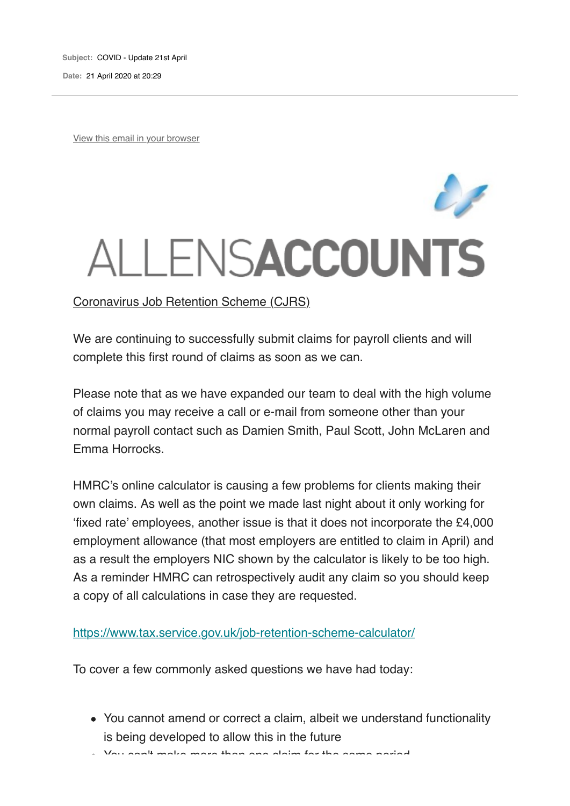**Subject:** COVID - Update 21st April **Date:** 21 April 2020 at 20:29

View this email in your browser

## ALLENSACCOUNTS

## Coronavirus Job Retention Scheme (CJRS)

We are continuing to successfully submit claims for payroll clients and will complete this first round of claims as soon as we can.

Please note that as we have expanded our team to deal with the high volume of claims you may receive a call or e-mail from someone other than your normal payroll contact such as Damien Smith, Paul Scott, John McLaren and Emma Horrocks.

HMRC's online calculator is causing a few problems for clients making their own claims. As well as the point we made last night about it only working for 'fixed rate' employees, another issue is that it does not incorporate the £4,000 employment allowance (that most employers are entitled to claim in April) and as a result the employers NIC shown by the calculator is likely to be too high. As a reminder HMRC can retrospectively audit any claim so you should keep a copy of all calculations in case they are requested.

https://www.tax.service.gov.uk/job-retention-scheme-calculator/

To cover a few commonly asked questions we have had today:

You cannot amend or correct a claim, albeit we understand functionality is being developed to allow this in the future

You can't make more than one claim for the same period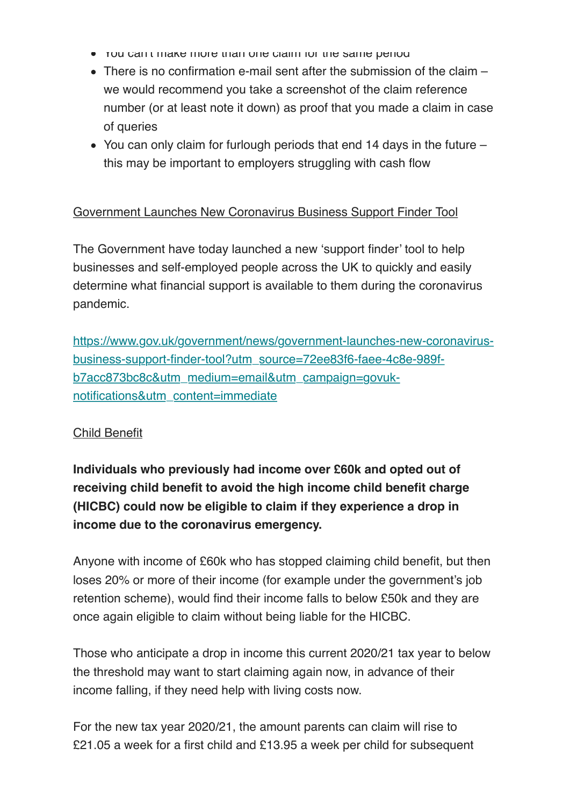- You can't make more than one claim for the same period
- $\bullet$  There is no confirmation e-mail sent after the submission of the claim  $$ we would recommend you take a screenshot of the claim reference number (or at least note it down) as proof that you made a claim in case of queries
- You can only claim for furlough periods that end 14 days in the future this may be important to employers struggling with cash flow

## Government Launches New Coronavirus Business Support Finder Tool

The Government have today launched a new 'support finder' tool to help businesses and self-employed people across the UK to quickly and easily determine what financial support is available to them during the coronavirus pandemic.

https://www.gov.uk/government/news/government-launches-new-coronavirusbusiness-support-finder-tool?utm\_source=72ee83f6-faee-4c8e-989fb7acc873bc8c&utm\_medium=email&utm\_campaign=govuknotifications&utm\_content=immediate

## Child Benefit

**Individuals who previously had income over £60k and opted out of receiving child benefit to avoid the high income child benefit charge (HICBC) could now be eligible to claim if they experience a drop in income due to the coronavirus emergency.**

Anyone with income of £60k who has stopped claiming child benefit, but then loses 20% or more of their income (for example under the government's job retention scheme), would find their income falls to below £50k and they are once again eligible to claim without being liable for the HICBC.

Those who anticipate a drop in income this current 2020/21 tax year to below the threshold may want to start claiming again now, in advance of their income falling, if they need help with living costs now.

For the new tax year 2020/21, the amount parents can claim will rise to £21.05 a week for a first child and £13.95 a week per child for subsequent